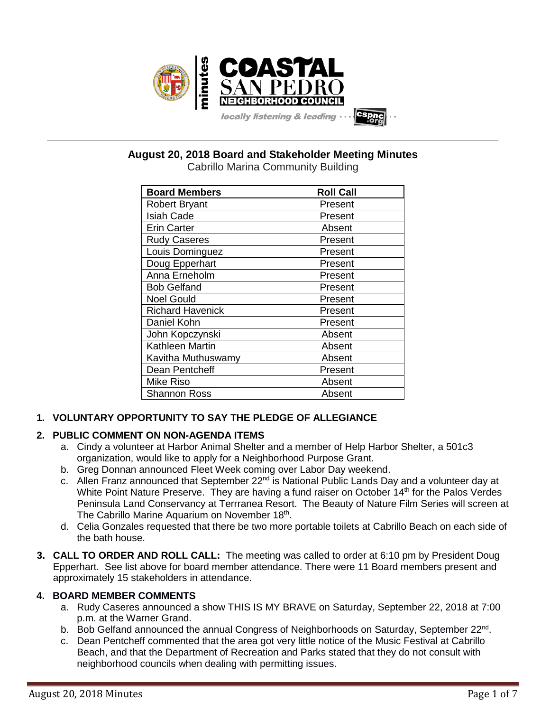

**August 20, 2018 Board and Stakeholder Meeting Minutes**

**\_\_\_\_\_\_\_\_\_\_\_\_\_\_\_\_\_\_\_\_\_\_\_\_\_\_\_\_\_\_\_\_\_\_\_\_\_\_\_\_\_\_\_\_\_\_\_\_\_\_\_\_\_\_\_\_\_\_\_\_\_\_\_\_\_\_\_\_\_\_\_\_\_\_\_\_\_\_\_\_\_\_\_\_\_\_\_\_\_\_\_\_\_\_\_\_\_\_\_\_\_\_\_\_\_\_\_\_\_\_\_\_\_**

| <b>Cabrillo Marina Community Building</b> |  |  |  |
|-------------------------------------------|--|--|--|
|-------------------------------------------|--|--|--|

| <b>Board Members</b>    | <b>Roll Call</b> |  |
|-------------------------|------------------|--|
| <b>Robert Bryant</b>    | Present          |  |
| <b>Isiah Cade</b>       | Present          |  |
| <b>Erin Carter</b>      | Absent           |  |
| <b>Rudy Caseres</b>     | Present          |  |
| Louis Dominguez         | Present          |  |
| Doug Epperhart          | Present          |  |
| Anna Erneholm           | Present          |  |
| <b>Bob Gelfand</b>      | Present          |  |
| <b>Noel Gould</b>       | Present          |  |
| <b>Richard Havenick</b> | Present          |  |
| Daniel Kohn             | Present          |  |
| John Kopczynski         | Absent           |  |
| Kathleen Martin         | Absent           |  |
| Kavitha Muthuswamy      | Absent           |  |
| Dean Pentcheff          | Present          |  |
| Mike Riso               | Absent           |  |
| <b>Shannon Ross</b>     | Absent           |  |

# **1. VOLUNTARY OPPORTUNITY TO SAY THE PLEDGE OF ALLEGIANCE**

# **2. PUBLIC COMMENT ON NON-AGENDA ITEMS**

- a. Cindy a volunteer at Harbor Animal Shelter and a member of Help Harbor Shelter, a 501c3 organization, would like to apply for a Neighborhood Purpose Grant.
- b. Greg Donnan announced Fleet Week coming over Labor Day weekend.
- c. Allen Franz announced that September 22<sup>nd</sup> is National Public Lands Day and a volunteer day at White Point Nature Preserve. They are having a fund raiser on October 14<sup>th</sup> for the Palos Verdes Peninsula Land Conservancy at Terrranea Resort. The Beauty of Nature Film Series will screen at The Cabrillo Marine Aquarium on November 18<sup>th</sup>.
- d. Celia Gonzales requested that there be two more portable toilets at Cabrillo Beach on each side of the bath house.
- **3. CALL TO ORDER AND ROLL CALL:** The meeting was called to order at 6:10 pm by President Doug Epperhart. See list above for board member attendance. There were 11 Board members present and approximately 15 stakeholders in attendance.

# **4. BOARD MEMBER COMMENTS**

- a. Rudy Caseres announced a show THIS IS MY BRAVE on Saturday, September 22, 2018 at 7:00 p.m. at the Warner Grand.
- b. Bob Gelfand announced the annual Congress of Neighborhoods on Saturday, September 22<sup>nd</sup>.
- c. Dean Pentcheff commented that the area got very little notice of the Music Festival at Cabrillo Beach, and that the Department of Recreation and Parks stated that they do not consult with neighborhood councils when dealing with permitting issues.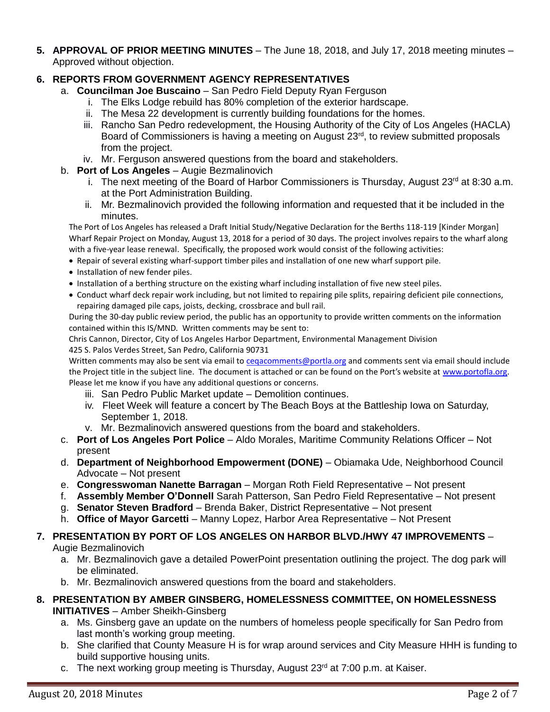**5. APPROVAL OF PRIOR MEETING MINUTES** – The June 18, 2018, and July 17, 2018 meeting minutes – Approved without objection.

# **6. REPORTS FROM GOVERNMENT AGENCY REPRESENTATIVES**

- a. **Councilman Joe Buscaino** San Pedro Field Deputy Ryan Ferguson
	- i. The Elks Lodge rebuild has 80% completion of the exterior hardscape.
	- ii. The Mesa 22 development is currently building foundations for the homes.
	- iii. Rancho San Pedro redevelopment, the Housing Authority of the City of Los Angeles (HACLA) Board of Commissioners is having a meeting on August 23<sup>rd</sup>, to review submitted proposals from the project.
	- iv. Mr. Ferguson answered questions from the board and stakeholders.
- b. **Port of Los Angeles** Augie Bezmalinovich
	- i. The next meeting of the Board of Harbor Commissioners is Thursday, August  $23<sup>rd</sup>$  at 8:30 a.m. at the Port Administration Building.
	- ii. Mr. Bezmalinovich provided the following information and requested that it be included in the minutes.

The Port of Los Angeles has released a Draft Initial Study/Negative Declaration for the Berths 118-119 [Kinder Morgan] Wharf Repair Project on Monday, August 13, 2018 for a period of 30 days. The project involves repairs to the wharf along with a five-year lease renewal. Specifically, the proposed work would consist of the following activities:

- Repair of several existing wharf-support timber piles and installation of one new wharf support pile.
- Installation of new fender piles.
- Installation of a berthing structure on the existing wharf including installation of five new steel piles.
- Conduct wharf deck repair work including, but not limited to repairing pile splits, repairing deficient pile connections, repairing damaged pile caps, joists, decking, crossbrace and bull rail.

During the 30-day public review period, the public has an opportunity to provide written comments on the information contained within this IS/MND. Written comments may be sent to:

Chris Cannon, Director, City of Los Angeles Harbor Department, Environmental Management Division

#### 425 S. Palos Verdes Street, San Pedro, California 90731

Written comments may also be sent via email to [ceqacomments@portla.org](mailto:ceqacomments@portla.org) and comments sent via email should include the Project title in the subject line. The document is attached or can be found on the Port's website at [www.portofla.org.](http://www.portofla.org/) Please let me know if you have any additional questions or concerns.

- iii. San Pedro Public Market update Demolition continues.
- iv. Fleet Week will feature a concert by The Beach Boys at the Battleship Iowa on Saturday, September 1, 2018.
- v. Mr. Bezmalinovich answered questions from the board and stakeholders.
- c. **Port of Los Angeles Port Police** Aldo Morales, Maritime Community Relations Officer Not present
- d. **Department of Neighborhood Empowerment (DONE)** Obiamaka Ude, Neighborhood Council Advocate – Not present
- e. **Congresswoman Nanette Barragan** Morgan Roth Field Representative Not present
- f. **Assembly Member O'Donnell** Sarah Patterson, San Pedro Field Representative Not present
- g. **Senator Steven Bradford** Brenda Baker, District Representative Not present
- h. **Office of Mayor Garcetti** Manny Lopez, Harbor Area Representative Not Present

### **7. PRESENTATION BY PORT OF LOS ANGELES ON HARBOR BLVD./HWY 47 IMPROVEMENTS** – Augie Bezmalinovich

- a. Mr. Bezmalinovich gave a detailed PowerPoint presentation outlining the project. The dog park will be eliminated.
- b. Mr. Bezmalinovich answered questions from the board and stakeholders.

### **8. PRESENTATION BY AMBER GINSBERG, HOMELESSNESS COMMITTEE, ON HOMELESSNESS INITIATIVES** – Amber Sheikh-Ginsberg

- a. Ms. Ginsberg gave an update on the numbers of homeless people specifically for San Pedro from last month's working group meeting.
- b. She clarified that County Measure H is for wrap around services and City Measure HHH is funding to build supportive housing units.
- c. The next working group meeting is Thursday, August  $23<sup>rd</sup>$  at 7:00 p.m. at Kaiser.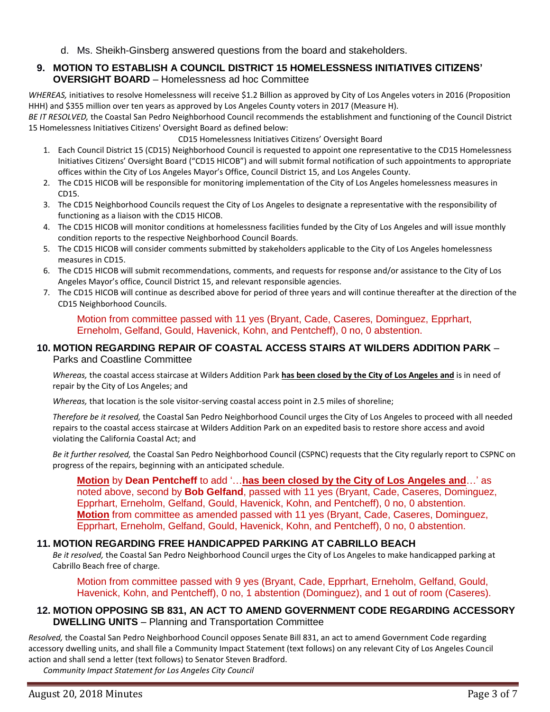d. Ms. Sheikh-Ginsberg answered questions from the board and stakeholders.

### **9. MOTION TO ESTABLISH A COUNCIL DISTRICT 15 HOMELESSNESS INITIATIVES CITIZENS' OVERSIGHT BOARD** – Homelessness ad hoc Committee

*WHEREAS,* initiatives to resolve Homelessness will receive \$1.2 Billion as approved by City of Los Angeles voters in 2016 (Proposition HHH) and \$355 million over ten years as approved by Los Angeles County voters in 2017 (Measure H).

*BE IT RESOLVED,* the Coastal San Pedro Neighborhood Council recommends the establishment and functioning of the Council District 15 Homelessness Initiatives Citizens' Oversight Board as defined below:

CD15 Homelessness Initiatives Citizens' Oversight Board

- 1. Each Council District 15 (CD15) Neighborhood Council is requested to appoint one representative to the CD15 Homelessness Initiatives Citizens' Oversight Board ("CD15 HICOB") and will submit formal notification of such appointments to appropriate offices within the City of Los Angeles Mayor's Office, Council District 15, and Los Angeles County.
- 2. The CD15 HICOB will be responsible for monitoring implementation of the City of Los Angeles homelessness measures in CD15.
- 3. The CD15 Neighborhood Councils request the City of Los Angeles to designate a representative with the responsibility of functioning as a liaison with the CD15 HICOB.
- 4. The CD15 HICOB will monitor conditions at homelessness facilities funded by the City of Los Angeles and will issue monthly condition reports to the respective Neighborhood Council Boards.
- 5. The CD15 HICOB will consider comments submitted by stakeholders applicable to the City of Los Angeles homelessness measures in CD15.
- 6. The CD15 HICOB will submit recommendations, comments, and requests for response and/or assistance to the City of Los Angeles Mayor's office, Council District 15, and relevant responsible agencies.
- 7. The CD15 HICOB will continue as described above for period of three years and will continue thereafter at the direction of the CD15 Neighborhood Councils.

Motion from committee passed with 11 yes (Bryant, Cade, Caseres, Dominguez, Epprhart, Erneholm, Gelfand, Gould, Havenick, Kohn, and Pentcheff), 0 no, 0 abstention.

#### **10. MOTION REGARDING REPAIR OF COASTAL ACCESS STAIRS AT WILDERS ADDITION PARK** – Parks and Coastline Committee

*Whereas,* the coastal access staircase at Wilders Addition Park **has been closed by the City of Los Angeles and** is in need of repair by the City of Los Angeles; and

*Whereas,* that location is the sole visitor-serving coastal access point in 2.5 miles of shoreline;

*Therefore be it resolved,* the Coastal San Pedro Neighborhood Council urges the City of Los Angeles to proceed with all needed repairs to the coastal access staircase at Wilders Addition Park on an expedited basis to restore shore access and avoid violating the California Coastal Act; and

*Be it further resolved,* the Coastal San Pedro Neighborhood Council (CSPNC) requests that the City regularly report to CSPNC on progress of the repairs, beginning with an anticipated schedule.

**Motion** by **Dean Pentcheff** to add '…**has been closed by the City of Los Angeles and**…' as noted above, second by **Bob Gelfand**, passed with 11 yes (Bryant, Cade, Caseres, Dominguez, Epprhart, Erneholm, Gelfand, Gould, Havenick, Kohn, and Pentcheff), 0 no, 0 abstention. **Motion** from committee as amended passed with 11 yes (Bryant, Cade, Caseres, Dominguez, Epprhart, Erneholm, Gelfand, Gould, Havenick, Kohn, and Pentcheff), 0 no, 0 abstention.

#### **11. MOTION REGARDING FREE HANDICAPPED PARKING AT CABRILLO BEACH**

*Be it resolved,* the Coastal San Pedro Neighborhood Council urges the City of Los Angeles to make handicapped parking at Cabrillo Beach free of charge.

Motion from committee passed with 9 yes (Bryant, Cade, Epprhart, Erneholm, Gelfand, Gould, Havenick, Kohn, and Pentcheff), 0 no, 1 abstention (Dominguez), and 1 out of room (Caseres).

### **12. MOTION OPPOSING SB 831, AN ACT TO AMEND GOVERNMENT CODE REGARDING ACCESSORY DWELLING UNITS** – Planning and Transportation Committee

*Resolved,* the Coastal San Pedro Neighborhood Council opposes Senate Bill 831, an act to amend Government Code regarding accessory dwelling units, and shall file a Community Impact Statement (text follows) on any relevant City of Los Angeles Council action and shall send a letter (text follows) to Senator Steven Bradford.

*Community Impact Statement for Los Angeles City Council*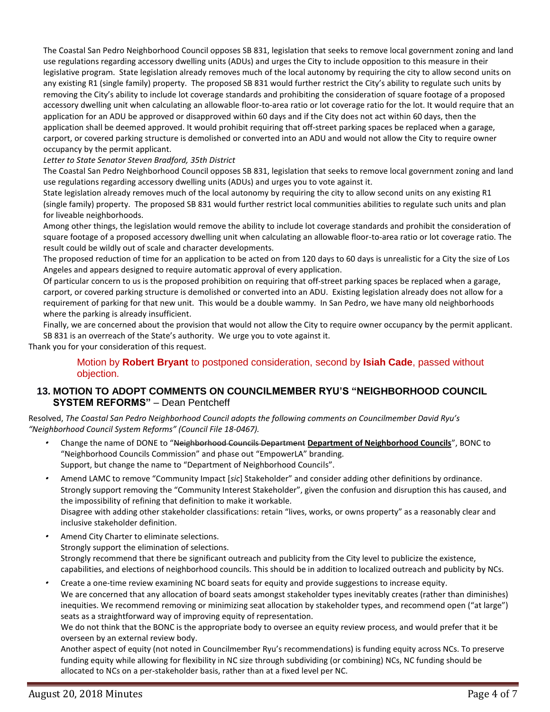The Coastal San Pedro Neighborhood Council opposes SB 831, legislation that seeks to remove local government zoning and land use regulations regarding accessory dwelling units (ADUs) and urges the City to include opposition to this measure in their legislative program. State legislation already removes much of the local autonomy by requiring the city to allow second units on any existing R1 (single family) property. The proposed SB 831 would further restrict the City's ability to regulate such units by removing the City's ability to include lot coverage standards and prohibiting the consideration of square footage of a proposed accessory dwelling unit when calculating an allowable floor-to-area ratio or lot coverage ratio for the lot. It would require that an application for an ADU be approved or disapproved within 60 days and if the City does not act within 60 days, then the application shall be deemed approved. It would prohibit requiring that off-street parking spaces be replaced when a garage, carport, or covered parking structure is demolished or converted into an ADU and would not allow the City to require owner occupancy by the permit applicant.

#### *Letter to State Senator Steven Bradford, 35th District*

The Coastal San Pedro Neighborhood Council opposes SB 831, legislation that seeks to remove local government zoning and land use regulations regarding accessory dwelling units (ADUs) and urges you to vote against it.

State legislation already removes much of the local autonomy by requiring the city to allow second units on any existing R1 (single family) property. The proposed SB 831 would further restrict local communities abilities to regulate such units and plan for liveable neighborhoods.

Among other things, the legislation would remove the ability to include lot coverage standards and prohibit the consideration of square footage of a proposed accessory dwelling unit when calculating an allowable floor-to-area ratio or lot coverage ratio. The result could be wildly out of scale and character developments.

The proposed reduction of time for an application to be acted on from 120 days to 60 days is unrealistic for a City the size of Los Angeles and appears designed to require automatic approval of every application.

Of particular concern to us is the proposed prohibition on requiring that off-street parking spaces be replaced when a garage, carport, or covered parking structure is demolished or converted into an ADU. Existing legislation already does not allow for a requirement of parking for that new unit. This would be a double wammy. In San Pedro, we have many old neighborhoods where the parking is already insufficient.

Finally, we are concerned about the provision that would not allow the City to require owner occupancy by the permit applicant. SB 831 is an overreach of the State's authority. We urge you to vote against it.

Thank you for your consideration of this request.

Motion by **Robert Bryant** to postponed consideration, second by **Isiah Cade**, passed without objection.

### **13. MOTION TO ADOPT COMMENTS ON COUNCILMEMBER RYU'S "NEIGHBORHOOD COUNCIL SYSTEM REFORMS"** – Dean Pentcheff

Resolved, *The Coastal San Pedro Neighborhood Council adopts the following comments on Councilmember David Ryu's "Neighborhood Council System Reforms" (Council File 18-0467).*

- • Change the name of DONE to "Neighborhood Councils Department **Department of Neighborhood Councils**", BONC to "Neighborhood Councils Commission" and phase out "EmpowerLA" branding. Support, but change the name to "Department of Neighborhood Councils".
- • Amend LAMC to remove "Community Impact [*sic*] Stakeholder" and consider adding other definitions by ordinance. Strongly support removing the "Community Interest Stakeholder", given the confusion and disruption this has caused, and the impossibility of refining that definition to make it workable. Disagree with adding other stakeholder classifications: retain "lives, works, or owns property" as a reasonably clear and inclusive stakeholder definition.
- • Amend City Charter to eliminate selections. Strongly support the elimination of selections. Strongly recommend that there be significant outreach and publicity from the City level to publicize the existence, capabilities, and elections of neighborhood councils. This should be in addition to localized outreach and publicity by NCs.
- • Create a one-time review examining NC board seats for equity and provide suggestions to increase equity. We are concerned that any allocation of board seats amongst stakeholder types inevitably creates (rather than diminishes) inequities. We recommend removing or minimizing seat allocation by stakeholder types, and recommend open ("at large") seats as a straightforward way of improving equity of representation.

We do not think that the BONC is the appropriate body to oversee an equity review process, and would prefer that it be overseen by an external review body.

Another aspect of equity (not noted in Councilmember Ryu's recommendations) is funding equity across NCs. To preserve funding equity while allowing for flexibility in NC size through subdividing (or combining) NCs, NC funding should be allocated to NCs on a per-stakeholder basis, rather than at a fixed level per NC.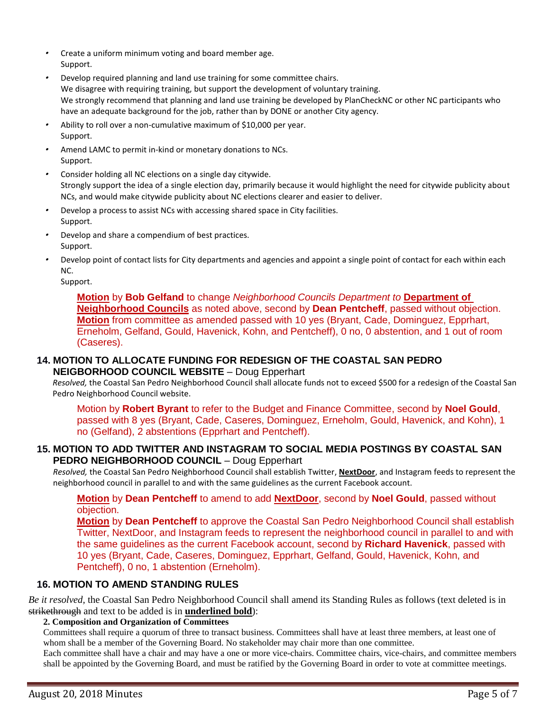- Create a uniform minimum voting and board member age. Support.
- • Develop required planning and land use training for some committee chairs. We disagree with requiring training, but support the development of voluntary training. We strongly recommend that planning and land use training be developed by PlanCheckNC or other NC participants who have an adequate background for the job, rather than by DONE or another City agency.
- • Ability to roll over a non-cumulative maximum of \$10,000 per year. Support.
- • Amend LAMC to permit in-kind or monetary donations to NCs. Support.
- Consider holding all NC elections on a single day citywide. Strongly support the idea of a single election day, primarily because it would highlight the need for citywide publicity about NCs, and would make citywide publicity about NC elections clearer and easier to deliver.
- • Develop a process to assist NCs with accessing shared space in City facilities. Support.
- • Develop and share a compendium of best practices. Support.
- • Develop point of contact lists for City departments and agencies and appoint a single point of contact for each within each NC.

Support.

**Motion** by **Bob Gelfand** to change *Neighborhood Councils Department to* **Department of Neighborhood Councils** as noted above, second by **Dean Pentcheff**, passed without objection. **Motion** from committee as amended passed with 10 yes (Bryant, Cade, Dominguez, Epprhart, Erneholm, Gelfand, Gould, Havenick, Kohn, and Pentcheff), 0 no, 0 abstention, and 1 out of room (Caseres).

### **14. MOTION TO ALLOCATE FUNDING FOR REDESIGN OF THE COASTAL SAN PEDRO NEIGBORHOOD COUNCIL WEBSITE** – Doug Epperhart

*Resolved,* the Coastal San Pedro Neighborhood Council shall allocate funds not to exceed \$500 for a redesign of the Coastal San Pedro Neighborhood Council website.

Motion by **Robert Byrant** to refer to the Budget and Finance Committee, second by **Noel Gould**, passed with 8 yes (Bryant, Cade, Caseres, Dominguez, Erneholm, Gould, Havenick, and Kohn), 1 no (Gelfand), 2 abstentions (Epprhart and Pentcheff).

### **15. MOTION TO ADD TWITTER AND INSTAGRAM TO SOCIAL MEDIA POSTINGS BY COASTAL SAN PEDRO NEIGHBORHOOD COUNCIL** – Doug Epperhart

*Resolved,* the Coastal San Pedro Neighborhood Council shall establish Twitter, **NextDoor**, and Instagram feeds to represent the neighborhood council in parallel to and with the same guidelines as the current Facebook account.

**Motion** by **Dean Pentcheff** to amend to add **NextDoor**, second by **Noel Gould**, passed without objection.

**Motion** by **Dean Pentcheff** to approve the Coastal San Pedro Neighborhood Council shall establish Twitter, NextDoor, and Instagram feeds to represent the neighborhood council in parallel to and with the same guidelines as the current Facebook account, second by **Richard Havenick**, passed with 10 yes (Bryant, Cade, Caseres, Dominguez, Epprhart, Gelfand, Gould, Havenick, Kohn, and Pentcheff), 0 no, 1 abstention (Erneholm).

# **16. MOTION TO AMEND STANDING RULES**

*Be it resolved,* the Coastal San Pedro Neighborhood Council shall amend its Standing Rules as follows (text deleted is in strikethrough and text to be added is in **underlined bold**):

#### **2. Composition and Organization of Committees**

Committees shall require a quorum of three to transact business. Committees shall have at least three members, at least one of whom shall be a member of the Governing Board. No stakeholder may chair more than one committee.

Each committee shall have a chair and may have a one or more vice-chairs. Committee chairs, vice-chairs, and committee members shall be appointed by the Governing Board, and must be ratified by the Governing Board in order to vote at committee meetings.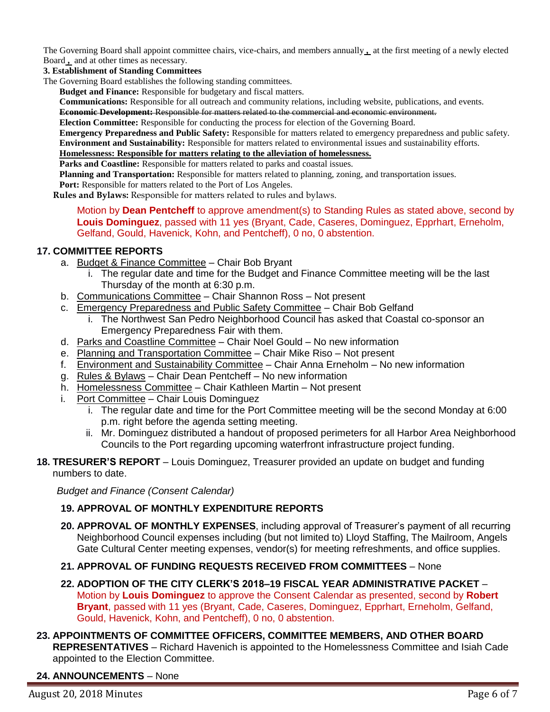The Governing Board shall appoint committee chairs, vice-chairs, and members annually **,** at the first meeting of a newly elected Board **,** and at other times as necessary.

**3. Establishment of Standing Committees**

The Governing Board establishes the following standing committees.

**Budget and Finance:** Responsible for budgetary and fiscal matters.

**Communications:** Responsible for all outreach and community relations, including website, publications, and events. **Economic Development:** Responsible for matters related to the commercial and economic environment.

**Election Committee:** Responsible for conducting the process for election of the Governing Board.

**Emergency Preparedness and Public Safety:** Responsible for matters related to emergency preparedness and public safety. **Environment and Sustainability:** Responsible for matters related to environmental issues and sustainability efforts.

#### **Homelessness: Responsible for matters relating to the alleviation of homelessness.**

**Parks and Coastline:** Responsible for matters related to parks and coastal issues.

**Planning and Transportation:** Responsible for matters related to planning, zoning, and transportation issues.

**Port:** Responsible for matters related to the Port of Los Angeles.

**Rules and Bylaws:** Responsible for matters related to rules and bylaws.

Motion by **Dean Pentcheff** to approve amendment(s) to Standing Rules as stated above, second by **Louis Dominguez**, passed with 11 yes (Bryant, Cade, Caseres, Dominguez, Epprhart, Erneholm, Gelfand, Gould, Havenick, Kohn, and Pentcheff), 0 no, 0 abstention.

### **17. COMMITTEE REPORTS**

- a. Budget & Finance Committee Chair Bob Bryant
	- i. The regular date and time for the Budget and Finance Committee meeting will be the last Thursday of the month at 6:30 p.m.
- b. Communications Committee Chair Shannon Ross Not present
- c. Emergency Preparedness and Public Safety Committee Chair Bob Gelfand
	- i. The Northwest San Pedro Neighborhood Council has asked that Coastal co-sponsor an Emergency Preparedness Fair with them.
- d. Parks and Coastline Committee Chair Noel Gould No new information
- e. Planning and Transportation Committee Chair Mike Riso Not present
- f. Environment and Sustainability Committee Chair Anna Erneholm No new information
- g. Rules & Bylaws Chair Dean Pentcheff No new information
- h. Homelessness Committee Chair Kathleen Martin Not present
- i. Port Committee Chair Louis Dominguez
	- i. The regular date and time for the Port Committee meeting will be the second Monday at 6:00 p.m. right before the agenda setting meeting.
	- ii. Mr. Dominguez distributed a handout of proposed perimeters for all Harbor Area Neighborhood Councils to the Port regarding upcoming waterfront infrastructure project funding.
- **18. TRESURER'S REPORT** Louis Dominguez, Treasurer provided an update on budget and funding numbers to date.

*Budget and Finance (Consent Calendar)*

### **19. APPROVAL OF MONTHLY EXPENDITURE REPORTS**

- **20. APPROVAL OF MONTHLY EXPENSES**, including approval of Treasurer's payment of all recurring Neighborhood Council expenses including (but not limited to) Lloyd Staffing, The Mailroom, Angels Gate Cultural Center meeting expenses, vendor(s) for meeting refreshments, and office supplies.
- **21. APPROVAL OF FUNDING REQUESTS RECEIVED FROM COMMITTEES** None
- **22. ADOPTION OF THE CITY CLERK'S 2018–19 FISCAL YEAR ADMINISTRATIVE PACKET** Motion by **Louis Dominguez** to approve the Consent Calendar as presented, second by **Robert Bryant**, passed with 11 yes (Bryant, Cade, Caseres, Dominguez, Epprhart, Erneholm, Gelfand, Gould, Havenick, Kohn, and Pentcheff), 0 no, 0 abstention.
- **23. APPOINTMENTS OF COMMITTEE OFFICERS, COMMITTEE MEMBERS, AND OTHER BOARD REPRESENTATIVES** – Richard Havenich is appointed to the Homelessness Committee and Isiah Cade appointed to the Election Committee.

### **24. ANNOUNCEMENTS** – None